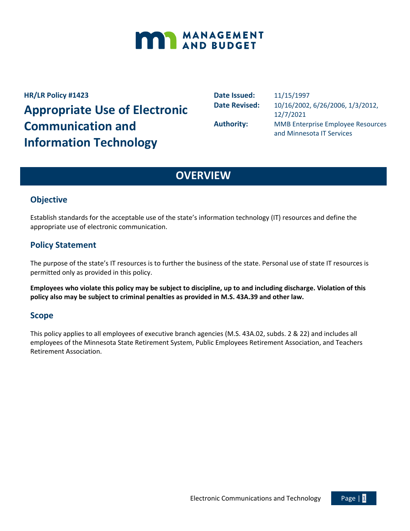

**HR/LR Policy #1423**

**Appropriate Use of Electronic Communication and Information Technology**

**Date Issued:** 11/15/1997

**Date Revised:** 10/16/2002, 6/26/2006, 1/3/2012, 12/7/2021 **Authority:** MMB Enterprise Employee Resources and Minnesota IT Services

## **OVERVIEW**

## **Objective**

Establish standards for the acceptable use of the state's information technology (IT) resources and define the appropriate use of electronic communication.

## **Policy Statement**

The purpose of the state's IT resources is to further the business of the state. Personal use of state IT resources is permitted only as provided in this policy.

**Employees who violate this policy may be subject to discipline, up to and including discharge. Violation of this policy also may be subject to criminal penalties as provided in M.S. 43A.39 and other law.**

### **Scope**

This policy applies to all employees of executive branch agencies (M.S. 43A.02, subds. 2 & 22) and includes all employees of the Minnesota State Retirement System, Public Employees Retirement Association, and Teachers Retirement Association.

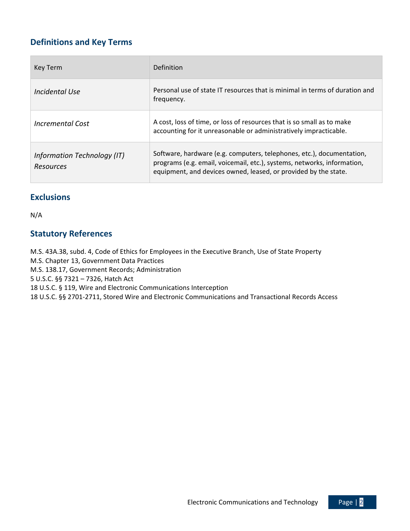## **Definitions and Key Terms**

| Key Term                                        | Definition                                                                                                                                                                                                          |
|-------------------------------------------------|---------------------------------------------------------------------------------------------------------------------------------------------------------------------------------------------------------------------|
| Incidental Use                                  | Personal use of state IT resources that is minimal in terms of duration and<br>frequency.                                                                                                                           |
| Incremental Cost                                | A cost, loss of time, or loss of resources that is so small as to make<br>accounting for it unreasonable or administratively impracticable.                                                                         |
| Information Technology (IT)<br><b>Resources</b> | Software, hardware (e.g. computers, telephones, etc.), documentation,<br>programs (e.g. email, voicemail, etc.), systems, networks, information,<br>equipment, and devices owned, leased, or provided by the state. |

## **Exclusions**

N/A

## **Statutory References**

M.S. 43A.38, subd. 4, Code of Ethics for Employees in the Executive Branch, Use of State Property

M.S. Chapter 13, Government Data Practices

M.S. 138.17, Government Records; Administration

5 U.S.C. §§ 7321 – 7326, Hatch Act

18 U.S.C. § 119, Wire and Electronic Communications Interception

18 U.S.C. §§ 2701-2711, Stored Wire and Electronic Communications and Transactional Records Access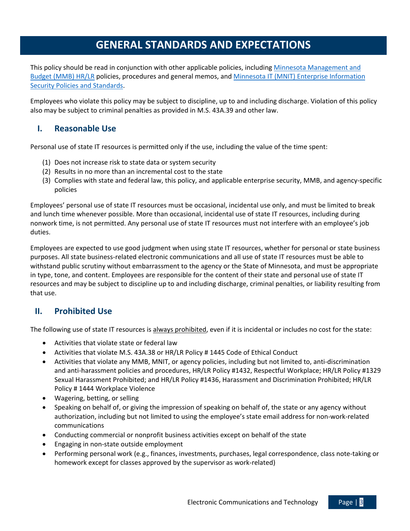# **GENERAL STANDARDS AND EXPECTATIONS**

This policy should be read in conjunction with other applicable policies, including Minnesota Management and [Budget \(MMB\) HR/LR](https://mn.gov/mmb/employee-relations/laws-policies-and-rules/statewide-hr-policies/) policies, procedures and general memos, and [Minnesota IT \(MNIT\) Enterprise Information](https://mn.gov/mnit/government/policies/security/)  Security Policies [and Standards.](https://mn.gov/mnit/government/policies/security/)

Employees who violate this policy may be subject to discipline, up to and including discharge. Violation of this policy also may be subject to criminal penalties as provided in M.S. 43A.39 and other law.

## **I. Reasonable Use**

Personal use of state IT resources is permitted only if the use, including the value of the time spent:

- (1) Does not increase risk to state data or system security
- (2) Results in no more than an incremental cost to the state
- (3) Complies with state and federal law, this policy, and applicable enterprise security, MMB, and agency-specific policies

Employees' personal use of state IT resources must be occasional, incidental use only, and must be limited to break and lunch time whenever possible. More than occasional, incidental use of state IT resources, including during nonwork time, is not permitted. Any personal use of state IT resources must not interfere with an employee's job duties.

Employees are expected to use good judgment when using state IT resources, whether for personal or state business purposes. All state business-related electronic communications and all use of state IT resources must be able to withstand public scrutiny without embarrassment to the agency or the State of Minnesota, and must be appropriate in type, tone, and content. Employees are responsible for the content of their state and personal use of state IT resources and may be subject to discipline up to and including discharge, criminal penalties, or liability resulting from that use.

## **II. Prohibited Use**

The following use of state IT resources is always prohibited, even if it is incidental or includes no cost for the state:

- Activities that violate state or federal law
- Activities that violate M.S. 43A.38 or HR/LR Policy # 1445 Code of Ethical Conduct
- Activities that violate any MMB, MNIT, or agency policies, including but not limited to, anti-discrimination and anti-harassment policies and procedures, HR/LR Policy #1432, Respectful Workplace; HR/LR Policy #1329 Sexual Harassment Prohibited; and HR/LR Policy #1436, Harassment and Discrimination Prohibited; HR/LR Policy # 1444 Workplace Violence
- Wagering, betting, or selling
- Speaking on behalf of, or giving the impression of speaking on behalf of, the state or any agency without authorization, including but not limited to using the employee's state email address for non-work-related communications
- Conducting commercial or nonprofit business activities except on behalf of the state
- Engaging in non-state outside employment
- Performing personal work (e.g., finances, investments, purchases, legal correspondence, class note-taking or homework except for classes approved by the supervisor as work-related)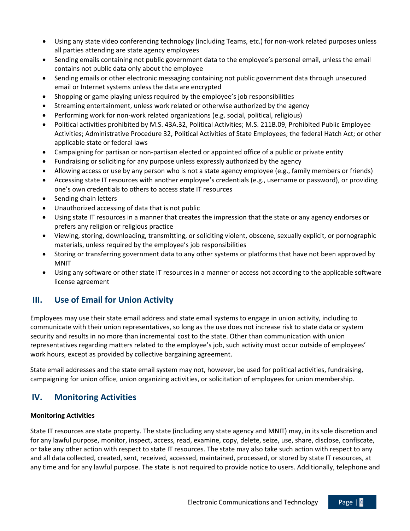- Using any state video conferencing technology (including Teams, etc.) for non-work related purposes unless all parties attending are state agency employees
- Sending emails containing not public government data to the employee's personal email, unless the email contains not public data only about the employee
- Sending emails or other electronic messaging containing not public government data through unsecured email or Internet systems unless the data are encrypted
- Shopping or game playing unless required by the employee's job responsibilities
- Streaming entertainment, unless work related or otherwise authorized by the agency
- Performing work for non-work related organizations (e.g. social, political, religious)
- Political activities prohibited by M.S. 43A.32, Political Activities; M.S. 211B.09, Prohibited Public Employee Activities; Administrative Procedure 32, Political Activities of State Employees; the federal Hatch Act; or other applicable state or federal laws
- Campaigning for partisan or non-partisan elected or appointed office of a public or private entity
- Fundraising or soliciting for any purpose unless expressly authorized by the agency
- Allowing access or use by any person who is not a state agency employee (e.g., family members or friends)
- Accessing state IT resources with another employee's credentials (e.g., username or password), or providing one's own credentials to others to access state IT resources
- Sending chain letters
- Unauthorized accessing of data that is not public
- Using state IT resources in a manner that creates the impression that the state or any agency endorses or prefers any religion or religious practice
- Viewing, storing, downloading, transmitting, or soliciting violent, obscene, sexually explicit, or pornographic materials, unless required by the employee's job responsibilities
- Storing or transferring government data to any other systems or platforms that have not been approved by MNIT
- Using any software or other state IT resources in a manner or access not according to the applicable software license agreement

## **III. Use of Email for Union Activity**

Employees may use their state email address and state email systems to engage in union activity, including to communicate with their union representatives, so long as the use does not increase risk to state data or system security and results in no more than incremental cost to the state. Other than communication with union representatives regarding matters related to the employee's job, such activity must occur outside of employees' work hours, except as provided by collective bargaining agreement.

State email addresses and the state email system may not, however, be used for political activities, fundraising, campaigning for union office, union organizing activities, or solicitation of employees for union membership.

## **IV. Monitoring Activities**

#### **Monitoring Activities**

State IT resources are state property. The state (including any state agency and MNIT) may, in its sole discretion and for any lawful purpose, monitor, inspect, access, read, examine, copy, delete, seize, use, share, disclose, confiscate, or take any other action with respect to state IT resources. The state may also take such action with respect to any and all data collected, created, sent, received, accessed, maintained, processed, or stored by state IT resources, at any time and for any lawful purpose. The state is not required to provide notice to users. Additionally, telephone and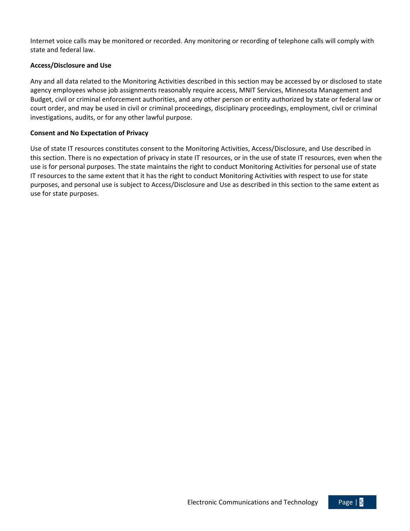Internet voice calls may be monitored or recorded. Any monitoring or recording of telephone calls will comply with state and federal law.

#### **Access/Disclosure and Use**

Any and all data related to the Monitoring Activities described in this section may be accessed by or disclosed to state agency employees whose job assignments reasonably require access, MNIT Services, Minnesota Management and Budget, civil or criminal enforcement authorities, and any other person or entity authorized by state or federal law or court order, and may be used in civil or criminal proceedings, disciplinary proceedings, employment, civil or criminal investigations, audits, or for any other lawful purpose.

#### **Consent and No Expectation of Privacy**

Use of state IT resources constitutes consent to the Monitoring Activities, Access/Disclosure, and Use described in this section. There is no expectation of privacy in state IT resources, or in the use of state IT resources, even when the use is for personal purposes. The state maintains the right to conduct Monitoring Activities for personal use of state IT resources to the same extent that it has the right to conduct Monitoring Activities with respect to use for state purposes, and personal use is subject to Access/Disclosure and Use as described in this section to the same extent as use for state purposes.